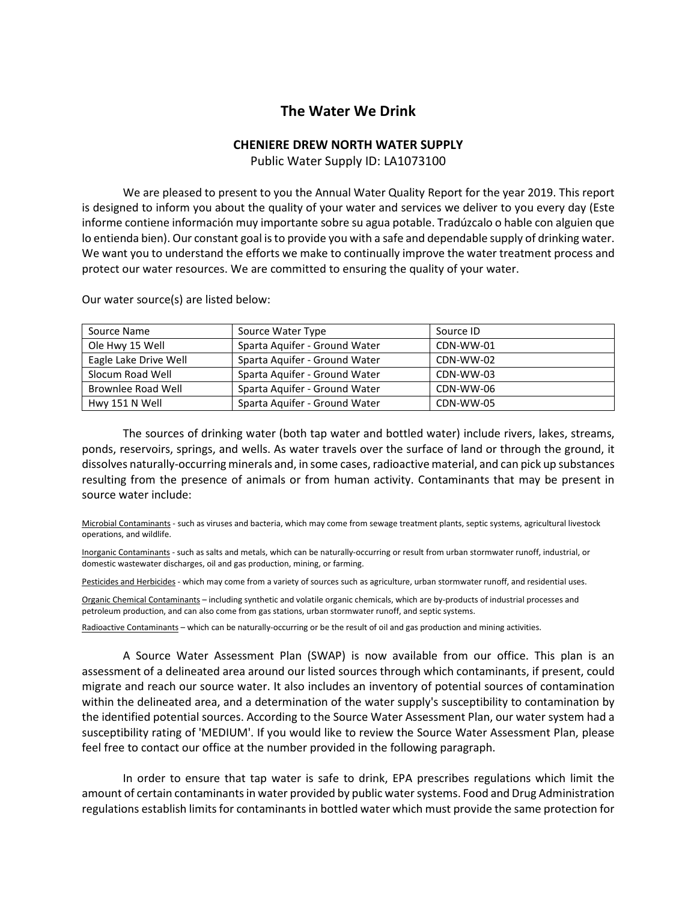## **The Water We Drink**

## **CHENIERE DREW NORTH WATER SUPPLY**

Public Water Supply ID: LA1073100

 We are pleased to present to you the Annual Water Quality Report for the year 2019. This report is designed to inform you about the quality of your water and services we deliver to you every day (Este informe contiene información muy importante sobre su agua potable. Tradúzcalo o hable con alguien que lo entienda bien). Our constant goal is to provide you with a safe and dependable supply of drinking water. We want you to understand the efforts we make to continually improve the water treatment process and protect our water resources. We are committed to ensuring the quality of your water.

| Source Name           | Source Water Type             | Source ID |
|-----------------------|-------------------------------|-----------|
| Ole Hwy 15 Well       | Sparta Aquifer - Ground Water | CDN-WW-01 |
| Eagle Lake Drive Well | Sparta Aguifer - Ground Water | CDN-WW-02 |
| Slocum Road Well      | Sparta Aguifer - Ground Water | CDN-WW-03 |
| Brownlee Road Well    | Sparta Aguifer - Ground Water | CDN-WW-06 |
| Hwy 151 N Well        | Sparta Aguifer - Ground Water | CDN-WW-05 |

Our water source(s) are listed below:

 The sources of drinking water (both tap water and bottled water) include rivers, lakes, streams, ponds, reservoirs, springs, and wells. As water travels over the surface of land or through the ground, it dissolves naturally-occurring minerals and, in some cases, radioactive material, and can pick up substances resulting from the presence of animals or from human activity. Contaminants that may be present in source water include:

Microbial Contaminants - such as viruses and bacteria, which may come from sewage treatment plants, septic systems, agricultural livestock operations, and wildlife.

Inorganic Contaminants - such as salts and metals, which can be naturally-occurring or result from urban stormwater runoff, industrial, or domestic wastewater discharges, oil and gas production, mining, or farming.

Pesticides and Herbicides - which may come from a variety of sources such as agriculture, urban stormwater runoff, and residential uses.

Organic Chemical Contaminants – including synthetic and volatile organic chemicals, which are by-products of industrial processes and petroleum production, and can also come from gas stations, urban stormwater runoff, and septic systems.

Radioactive Contaminants – which can be naturally-occurring or be the result of oil and gas production and mining activities.

 A Source Water Assessment Plan (SWAP) is now available from our office. This plan is an assessment of a delineated area around our listed sources through which contaminants, if present, could migrate and reach our source water. It also includes an inventory of potential sources of contamination within the delineated area, and a determination of the water supply's susceptibility to contamination by the identified potential sources. According to the Source Water Assessment Plan, our water system had a susceptibility rating of 'MEDIUM'. If you would like to review the Source Water Assessment Plan, please feel free to contact our office at the number provided in the following paragraph.

 In order to ensure that tap water is safe to drink, EPA prescribes regulations which limit the amount of certain contaminants in water provided by public water systems. Food and Drug Administration regulations establish limits for contaminants in bottled water which must provide the same protection for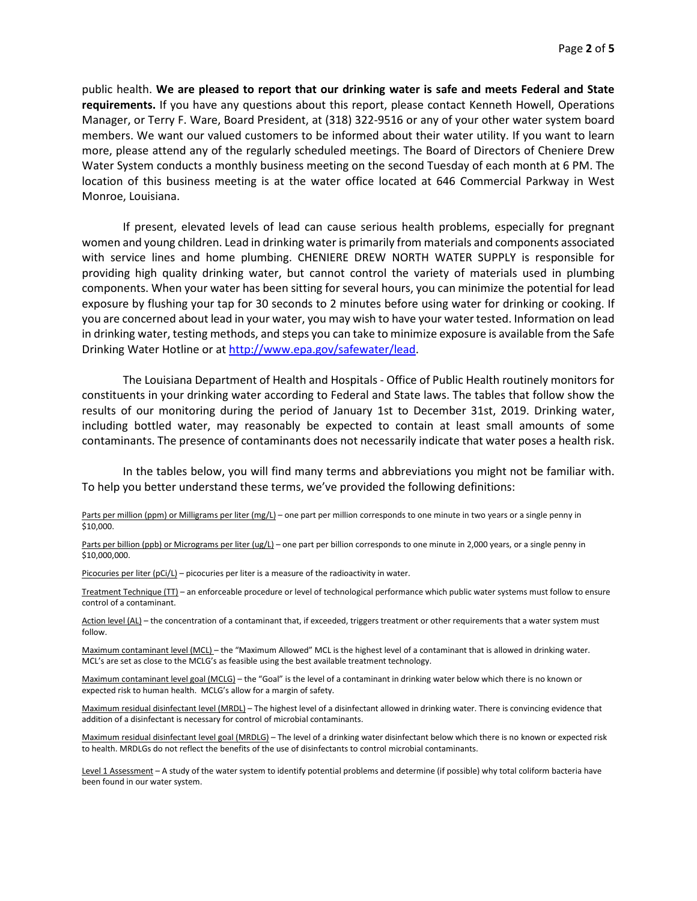public health. **We are pleased to report that our drinking water is safe and meets Federal and State requirements.** If you have any questions about this report, please contact Kenneth Howell, Operations Manager, or Terry F. Ware, Board President, at (318) 322-9516 or any of your other water system board members. We want our valued customers to be informed about their water utility. If you want to learn more, please attend any of the regularly scheduled meetings. The Board of Directors of Cheniere Drew Water System conducts a monthly business meeting on the second Tuesday of each month at 6 PM. The location of this business meeting is at the water office located at 646 Commercial Parkway in West Monroe, Louisiana.

 If present, elevated levels of lead can cause serious health problems, especially for pregnant women and young children. Lead in drinking water is primarily from materials and components associated with service lines and home plumbing. CHENIERE DREW NORTH WATER SUPPLY is responsible for providing high quality drinking water, but cannot control the variety of materials used in plumbing components. When your water has been sitting for several hours, you can minimize the potential for lead exposure by flushing your tap for 30 seconds to 2 minutes before using water for drinking or cooking. If you are concerned about lead in your water, you may wish to have your water tested. Information on lead in drinking water, testing methods, and steps you can take to minimize exposure is available from the Safe Drinking Water Hotline or at http://www.epa.gov/safewater/lead.

 The Louisiana Department of Health and Hospitals - Office of Public Health routinely monitors for constituents in your drinking water according to Federal and State laws. The tables that follow show the results of our monitoring during the period of January 1st to December 31st, 2019. Drinking water, including bottled water, may reasonably be expected to contain at least small amounts of some contaminants. The presence of contaminants does not necessarily indicate that water poses a health risk.

 In the tables below, you will find many terms and abbreviations you might not be familiar with. To help you better understand these terms, we've provided the following definitions:

Parts per million (ppm) or Milligrams per liter (mg/L) – one part per million corresponds to one minute in two years or a single penny in \$10,000.

Parts per billion (ppb) or Micrograms per liter (ug/L) – one part per billion corresponds to one minute in 2,000 years, or a single penny in \$10,000,000.

Picocuries per liter (pCi/L) – picocuries per liter is a measure of the radioactivity in water.

Treatment Technique (TT) – an enforceable procedure or level of technological performance which public water systems must follow to ensure control of a contaminant.

Action level (AL) – the concentration of a contaminant that, if exceeded, triggers treatment or other requirements that a water system must follow.

Maximum contaminant level (MCL) – the "Maximum Allowed" MCL is the highest level of a contaminant that is allowed in drinking water. MCL's are set as close to the MCLG's as feasible using the best available treatment technology.

Maximum contaminant level goal (MCLG) – the "Goal" is the level of a contaminant in drinking water below which there is no known or expected risk to human health. MCLG's allow for a margin of safety.

Maximum residual disinfectant level (MRDL) – The highest level of a disinfectant allowed in drinking water. There is convincing evidence that addition of a disinfectant is necessary for control of microbial contaminants.

Maximum residual disinfectant level goal (MRDLG) – The level of a drinking water disinfectant below which there is no known or expected risk to health. MRDLGs do not reflect the benefits of the use of disinfectants to control microbial contaminants.

Level 1 Assessment - A study of the water system to identify potential problems and determine (if possible) why total coliform bacteria have been found in our water system.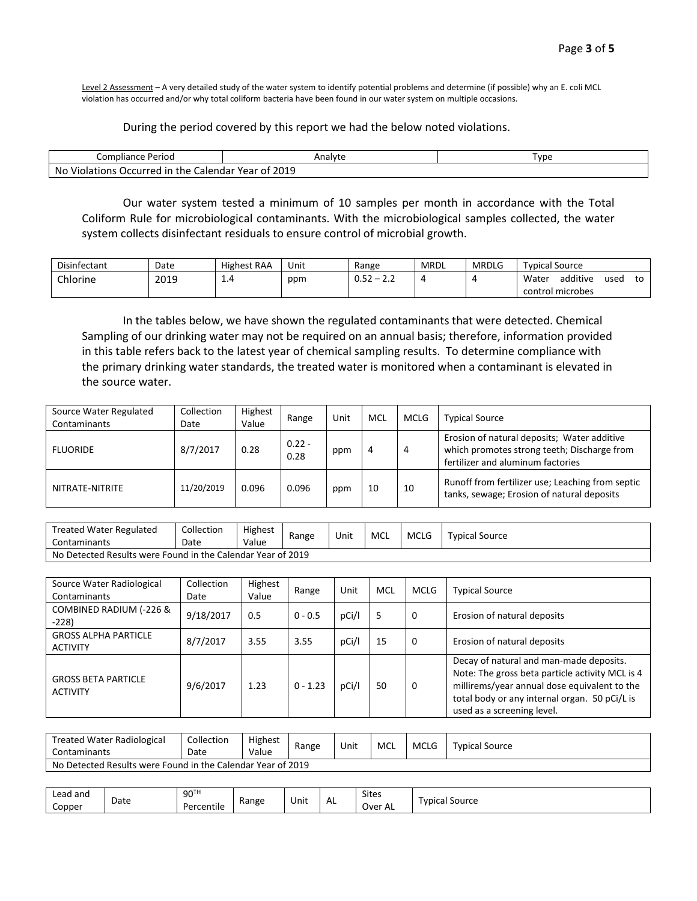Level 2 Assessment - A very detailed study of the water system to identify potential problems and determine (if possible) why an E. coli MCL violation has occurred and/or why total coliform bacteria have been found in our water system on multiple occasions.

## During the period covered by this report we had the below noted violations.

| Perioo<br>Compliance                                         | Analyte             | . vpe |
|--------------------------------------------------------------|---------------------|-------|
| .<br>No<br>Calendar<br>: Occurred<br>the<br>Violations<br>ır | 2019<br>'Year<br>0Ť |       |

 Our water system tested a minimum of 10 samples per month in accordance with the Total Coliform Rule for microbiological contaminants. With the microbiological samples collected, the water system collects disinfectant residuals to ensure control of microbial growth.

| Disinfectant | Date | Highest RAA | Unit | Range              | MRDL | <b>MRDLG</b> | Typical Source                  |
|--------------|------|-------------|------|--------------------|------|--------------|---------------------------------|
| Chlorine     | 2019 | 1.4         | ppm  | 0.52<br>. _<br>ے ۔ |      |              | additive<br>Water<br>to<br>used |
|              |      |             |      |                    |      |              | control microbes                |

 In the tables below, we have shown the regulated contaminants that were detected. Chemical Sampling of our drinking water may not be required on an annual basis; therefore, information provided in this table refers back to the latest year of chemical sampling results. To determine compliance with the primary drinking water standards, the treated water is monitored when a contaminant is elevated in the source water.

| Source Water Regulated<br>Contaminants | Collection<br>Date | Highest<br>Value | Range            | Unit | MCL | <b>MCLG</b> | <b>Typical Source</b>                                                                                                           |
|----------------------------------------|--------------------|------------------|------------------|------|-----|-------------|---------------------------------------------------------------------------------------------------------------------------------|
| <b>FLUORIDE</b>                        | 8/7/2017           | 0.28             | $0.22 -$<br>0.28 | ppm  | 4   | 4           | Erosion of natural deposits; Water additive<br>which promotes strong teeth; Discharge from<br>fertilizer and aluminum factories |
| NITRATE-NITRITE                        | 11/20/2019         | 0.096            | 0.096            | ppm  | 10  | 10          | Runoff from fertilizer use; Leaching from septic<br>tanks, sewage; Erosion of natural deposits                                  |

| Treated Water Regulated | Collection                                                  | Highest | Range |  |             | <b>MCLG</b> | <b>Typical Source</b> |  |  |
|-------------------------|-------------------------------------------------------------|---------|-------|--|-------------|-------------|-----------------------|--|--|
| Contaminants            | Date                                                        | Value   |       |  | MCL<br>Unit |             |                       |  |  |
|                         | No Detected Results were Found in the Calendar Year of 2019 |         |       |  |             |             |                       |  |  |

| Source Water Radiological<br>Contaminants      | Collection<br>Date | Highest<br>Value | Range      | Unit  | MCL | <b>MCLG</b> | <b>Typical Source</b>                                                                                                                                                                                                     |
|------------------------------------------------|--------------------|------------------|------------|-------|-----|-------------|---------------------------------------------------------------------------------------------------------------------------------------------------------------------------------------------------------------------------|
| COMBINED RADIUM (-226 &<br>$-228$              | 9/18/2017          | 0.5              | $0 - 0.5$  | pCi/l | 5   | 0           | Erosion of natural deposits                                                                                                                                                                                               |
| <b>GROSS ALPHA PARTICLE</b><br><b>ACTIVITY</b> | 8/7/2017           | 3.55             | 3.55       | pCi/l | 15  | $\Omega$    | Erosion of natural deposits                                                                                                                                                                                               |
| <b>GROSS BETA PARTICLE</b><br><b>ACTIVITY</b>  | 9/6/2017           | 1.23             | $0 - 1.23$ | pCi/l | 50  | 0           | Decay of natural and man-made deposits.<br>Note: The gross beta particle activity MCL is 4<br>millirems/year annual dose equivalent to the<br>total body or any internal organ. 50 pCi/L is<br>used as a screening level. |

| <b>Treated Water Radiological</b><br>Contaminants           | Collection<br>Date | Highest<br>Value | Range | Unit | MCL | <b>MCLG</b> | Typical Source |  |
|-------------------------------------------------------------|--------------------|------------------|-------|------|-----|-------------|----------------|--|
| No Detected Results were Found in the Calendar Year of 2019 |                    |                  |       |      |     |             |                |  |

| Lead and | Date | 90TH            | Range | . .<br>Unit |           | <b>Sites</b> | Source           |
|----------|------|-----------------|-------|-------------|-----------|--------------|------------------|
| Copper   |      | .<br>Percentile |       |             | <b>AL</b> | Over AL      | , vpica'<br>.ual |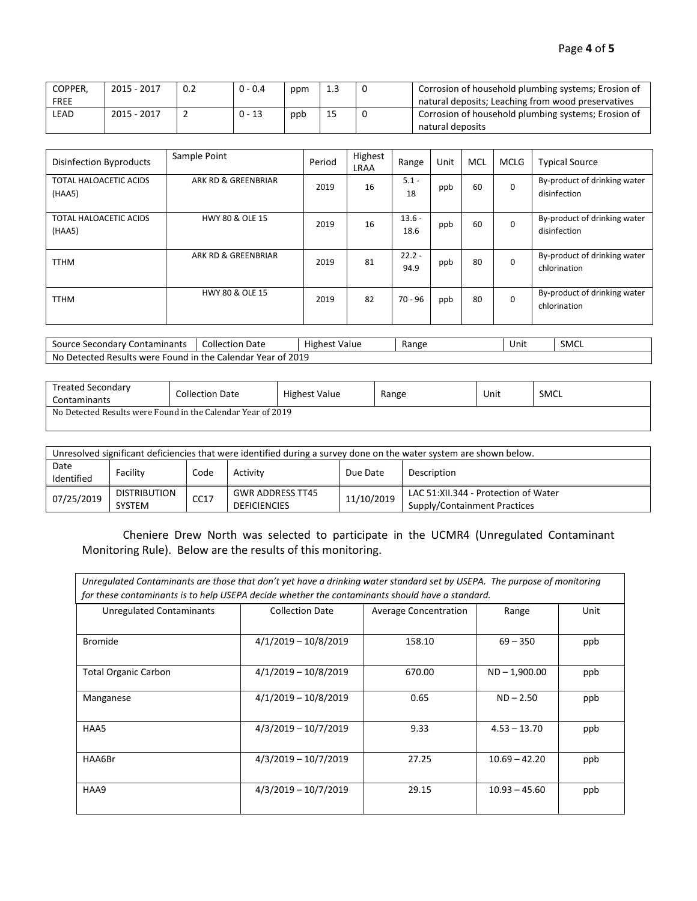| COPPER,     | 2015 - 2017 | 0.2 | $0 - 0.4$ | ppm |    | Corrosion of household plumbing systems; Erosion of |
|-------------|-------------|-----|-----------|-----|----|-----------------------------------------------------|
| <b>FREE</b> |             |     |           |     |    | natural deposits; Leaching from wood preservatives  |
| LEAD        | 2015 - 2017 |     | $0 - 13$  | ppb | Ŧэ | Corrosion of household plumbing systems; Erosion of |
|             |             |     |           |     |    | natural deposits                                    |

| <b>Disinfection Byproducts</b>          | Sample Point               | Period | Highest<br><b>LRAA</b> | Range            | Unit | MCL | MCLG     | <b>Typical Source</b>                        |
|-----------------------------------------|----------------------------|--------|------------------------|------------------|------|-----|----------|----------------------------------------------|
| <b>TOTAL HALOACETIC ACIDS</b><br>(HAA5) | ARK RD & GREENBRIAR        | 2019   | 16                     | $5.1 -$<br>18    | ppb  | 60  | $\Omega$ | By-product of drinking water<br>disinfection |
| <b>TOTAL HALOACETIC ACIDS</b><br>(HAA5) | <b>HWY 80 &amp; OLE 15</b> | 2019   | 16                     | $13.6 -$<br>18.6 | ppb  | 60  | $\Omega$ | By-product of drinking water<br>disinfection |
| <b>TTHM</b>                             | ARK RD & GREENBRIAR        | 2019   | 81                     | $22.2 -$<br>94.9 | ppb  | 80  | $\Omega$ | By-product of drinking water<br>chlorination |
| <b>TTHM</b>                             | <b>HWY 80 &amp; OLE 15</b> | 2019   | 82                     | $70 - 96$        | ppb  | 80  | $\Omega$ | By-product of drinking water<br>chlorination |

| ' Contaminants<br>Source Secondary C                     | Collection<br>Date | .<br>Value<br>Highest | Range | Unit | <b>SMCL</b> |
|----------------------------------------------------------|--------------------|-----------------------|-------|------|-------------|
| No Detected Results were Found in the Calendar Year of 2 | 2019               |                       |       |      |             |

| Treated Secondary<br>Contaminants                           | Collection Date | <b>Highest Value</b> | Range | Unit | <b>SMCL</b> |  |  |  |
|-------------------------------------------------------------|-----------------|----------------------|-------|------|-------------|--|--|--|
| No Detected Results were Found in the Calendar Year of 2019 |                 |                      |       |      |             |  |  |  |

| Unresolved significant deficiencies that were identified during a survey done on the water system are shown below. |                               |      |                                                |            |                                                                      |  |  |  |
|--------------------------------------------------------------------------------------------------------------------|-------------------------------|------|------------------------------------------------|------------|----------------------------------------------------------------------|--|--|--|
| Date<br>Identified                                                                                                 | Facility                      | Code | Activity                                       | Due Date   | Description                                                          |  |  |  |
| 07/25/2019                                                                                                         | <b>DISTRIBUTION</b><br>SYSTEM | CC17 | <b>GWR ADDRESS TT45</b><br><b>DEFICIENCIES</b> | 11/10/2019 | LAC 51:XII.344 - Protection of Water<br>Supply/Containment Practices |  |  |  |

 Cheniere Drew North was selected to participate in the UCMR4 (Unregulated Contaminant Monitoring Rule). Below are the results of this monitoring.

| Unregulated Contaminants are those that don't yet have a drinking water standard set by USEPA. The purpose of monitoring<br>for these contaminants is to help USEPA decide whether the contaminants should have a standard. |                        |        |                 |     |  |  |  |  |
|-----------------------------------------------------------------------------------------------------------------------------------------------------------------------------------------------------------------------------|------------------------|--------|-----------------|-----|--|--|--|--|
| <b>Unregulated Contaminants</b><br><b>Collection Date</b><br><b>Average Concentration</b><br>Unit<br>Range                                                                                                                  |                        |        |                 |     |  |  |  |  |
|                                                                                                                                                                                                                             |                        |        |                 |     |  |  |  |  |
| <b>Bromide</b>                                                                                                                                                                                                              | $4/1/2019 - 10/8/2019$ | 158.10 | $69 - 350$      | ppb |  |  |  |  |
| <b>Total Organic Carbon</b>                                                                                                                                                                                                 | $4/1/2019 - 10/8/2019$ | 670.00 | $ND - 1,900.00$ | ppb |  |  |  |  |
| Manganese                                                                                                                                                                                                                   | $4/1/2019 - 10/8/2019$ | 0.65   | $ND - 2.50$     | ppb |  |  |  |  |
| HAA5                                                                                                                                                                                                                        | $4/3/2019 - 10/7/2019$ | 9.33   | $4.53 - 13.70$  | ppb |  |  |  |  |
| HAA6Br                                                                                                                                                                                                                      | $4/3/2019 - 10/7/2019$ | 27.25  | $10.69 - 42.20$ | ppb |  |  |  |  |
| HAA9                                                                                                                                                                                                                        | $4/3/2019 - 10/7/2019$ | 29.15  | $10.93 - 45.60$ | ppb |  |  |  |  |